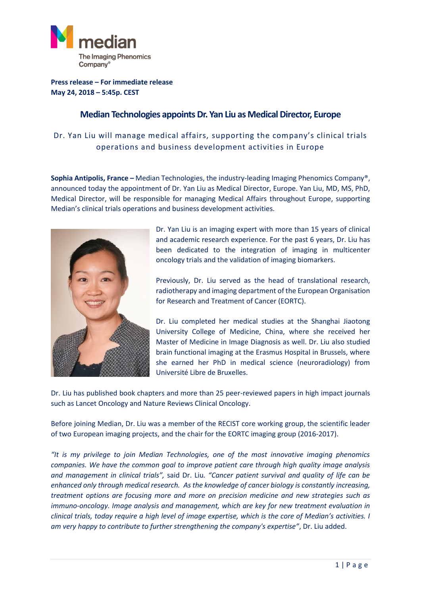

**Press release – For immediate release May 24, 2018 – 5:45p. CEST**

## **Median Technologies appointsDr. Yan Liu as Medical Director, Europe**

## Dr. Yan Liu will manage medical affairs, supporting the company's clinical trials operations and business development activities in Europe

**Sophia Antipolis, France –** Median Technologies, the industry-leading Imaging Phenomics Company®, announced today the appointment of Dr. Yan Liu as Medical Director, Europe. Yan Liu, MD, MS, PhD, Medical Director, will be responsible for managing Medical Affairs throughout Europe, supporting Median's clinical trials operations and business development activities.



Dr. Yan Liu is an imaging expert with more than 15 years of clinical and academic research experience. For the past 6 years, Dr. Liu has been dedicated to the integration of imaging in multicenter oncology trials and the validation of imaging biomarkers.

Previously, Dr. Liu served as the head of translational research, radiotherapy and imaging department of the European Organisation for Research and Treatment of Cancer (EORTC).

Dr. Liu completed her medical studies at the Shanghai Jiaotong University College of Medicine, China, where she received her Master of Medicine in Image Diagnosis as well. Dr. Liu also studied brain functional imaging at the Erasmus Hospital in Brussels, where she earned her PhD in medical science (neuroradiology) from Université Libre de Bruxelles.

Dr. Liu has published book chapters and more than 25 peer-reviewed papers in high impact journals such as Lancet Oncology and Nature Reviews Clinical Oncology.

Before joining Median, Dr. Liu was a member of the RECIST core working group, the scientific leader of two European imaging projects, and the chair for the EORTC imaging group (2016-2017).

*"It is my privilege to join Median Technologies, one of the most innovative imaging phenomics companies. We have the common goal to improve patient care through high quality image analysis and management in clinical trials",* said Dr. Liu*. "Cancer patient survival and quality of life can be enhanced only through medical research. As the knowledge of cancer biology is constantly increasing, treatment options are focusing more and more on precision medicine and new strategies such as immuno-oncology. Image analysis and management, which are key for new treatment evaluation in clinical trials, today require a high level of image expertise, which is the core of Median's activities. I am very happy to contribute to further strengthening the company's expertise"*, Dr. Liu added.